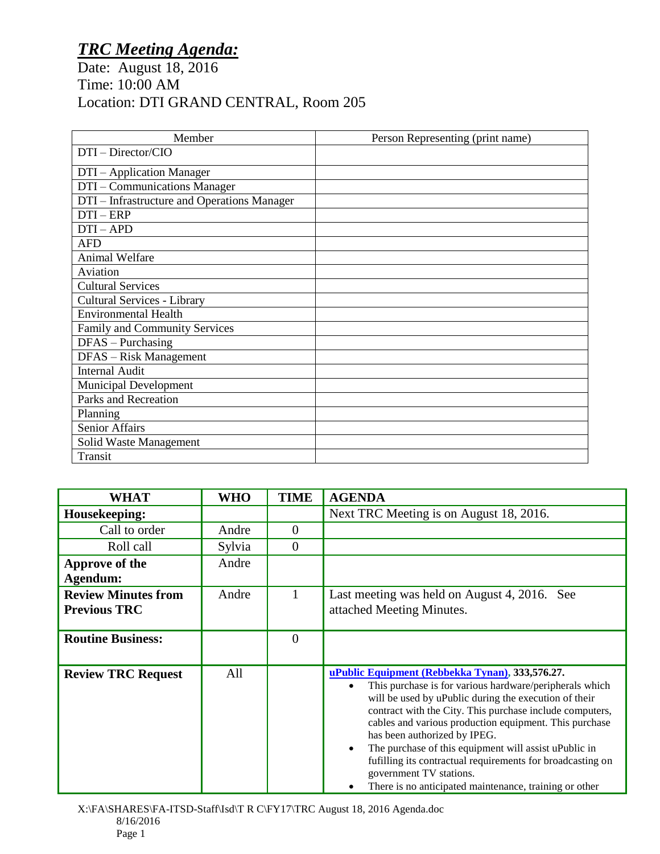## *TRC Meeting Agenda:*

Date: August 18, 2016 Time: 10:00 AM Location: DTI GRAND CENTRAL, Room 205

| Member                                      | Person Representing (print name) |
|---------------------------------------------|----------------------------------|
| DTI - Director/CIO                          |                                  |
| DTI - Application Manager                   |                                  |
| DTI - Communications Manager                |                                  |
| DTI – Infrastructure and Operations Manager |                                  |
| $DTI - ERP$                                 |                                  |
| $DTI-APD$                                   |                                  |
| <b>AFD</b>                                  |                                  |
| <b>Animal Welfare</b>                       |                                  |
| Aviation                                    |                                  |
| <b>Cultural Services</b>                    |                                  |
| Cultural Services - Library                 |                                  |
| <b>Environmental Health</b>                 |                                  |
| Family and Community Services               |                                  |
| $DFAS - Purchasing$                         |                                  |
| DFAS - Risk Management                      |                                  |
| <b>Internal Audit</b>                       |                                  |
| <b>Municipal Development</b>                |                                  |
| Parks and Recreation                        |                                  |
| Planning                                    |                                  |
| Senior Affairs                              |                                  |
| Solid Waste Management                      |                                  |
| Transit                                     |                                  |

| <b>WHAT</b>                | <b>WHO</b> | <b>TIME</b> | <b>AGENDA</b>                                                                                                                 |
|----------------------------|------------|-------------|-------------------------------------------------------------------------------------------------------------------------------|
| Housekeeping:              |            |             | Next TRC Meeting is on August 18, 2016.                                                                                       |
| Call to order              | Andre      | $\theta$    |                                                                                                                               |
| Roll call                  | Sylvia     | $\Omega$    |                                                                                                                               |
| Approve of the             | Andre      |             |                                                                                                                               |
| Agendum:                   |            |             |                                                                                                                               |
| <b>Review Minutes from</b> | Andre      | 1           | Last meeting was held on August 4, 2016. See                                                                                  |
| <b>Previous TRC</b>        |            |             | attached Meeting Minutes.                                                                                                     |
|                            |            |             |                                                                                                                               |
| <b>Routine Business:</b>   |            | $\theta$    |                                                                                                                               |
|                            |            |             |                                                                                                                               |
| <b>Review TRC Request</b>  | All        |             | uPublic Equipment (Rebbekka Tynan), 333,576.27.                                                                               |
|                            |            |             | This purchase is for various hardware/peripherals which<br>$\bullet$<br>will be used by uPublic during the execution of their |
|                            |            |             | contract with the City. This purchase include computers,                                                                      |
|                            |            |             | cables and various production equipment. This purchase                                                                        |
|                            |            |             | has been authorized by IPEG.                                                                                                  |
|                            |            |             | The purchase of this equipment will assist uPublic in<br>$\bullet$                                                            |
|                            |            |             | fufilling its contractual requirements for broadcasting on<br>government TV stations.                                         |
|                            |            |             | There is no anticipated maintenance, training or other                                                                        |